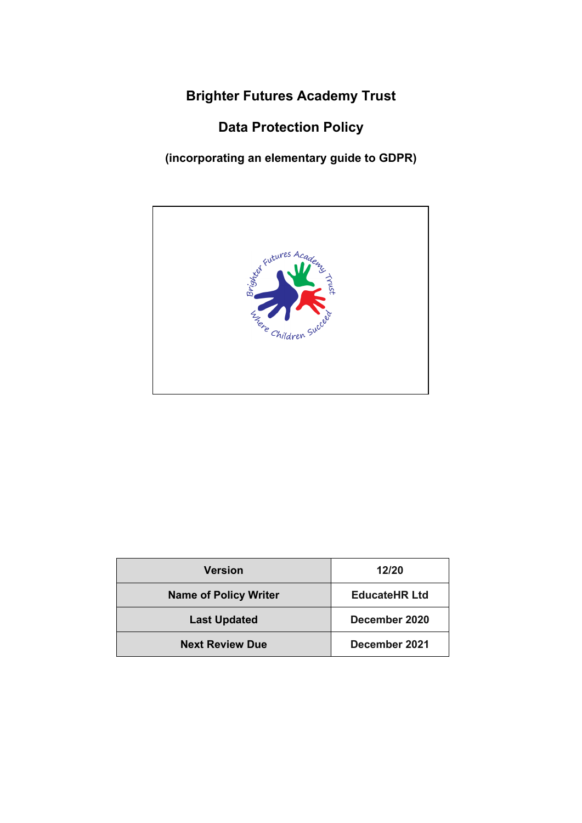**Brighter Futures Academy Trust**

**Data Protection Policy**

**(incorporating an elementary guide to GDPR)**



| <b>Version</b>               | 12/20                |  |
|------------------------------|----------------------|--|
| <b>Name of Policy Writer</b> | <b>EducateHR Ltd</b> |  |
| <b>Last Updated</b>          | December 2020        |  |
| <b>Next Review Due</b>       | December 2021        |  |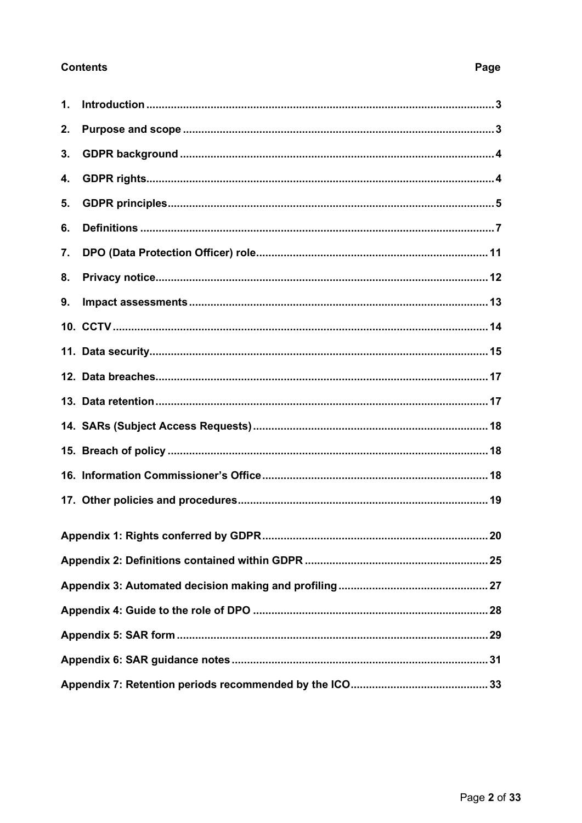# **Contents**

# Page

<span id="page-1-0"></span>

| 1. |     |  |
|----|-----|--|
| 2. |     |  |
| 3. |     |  |
| 4. |     |  |
| 5. |     |  |
| 6. |     |  |
| 7. |     |  |
| 8. |     |  |
| 9. |     |  |
|    |     |  |
|    |     |  |
|    |     |  |
|    |     |  |
|    |     |  |
|    |     |  |
|    |     |  |
|    |     |  |
|    | .20 |  |
|    |     |  |
|    |     |  |
|    |     |  |
|    |     |  |
|    |     |  |
|    |     |  |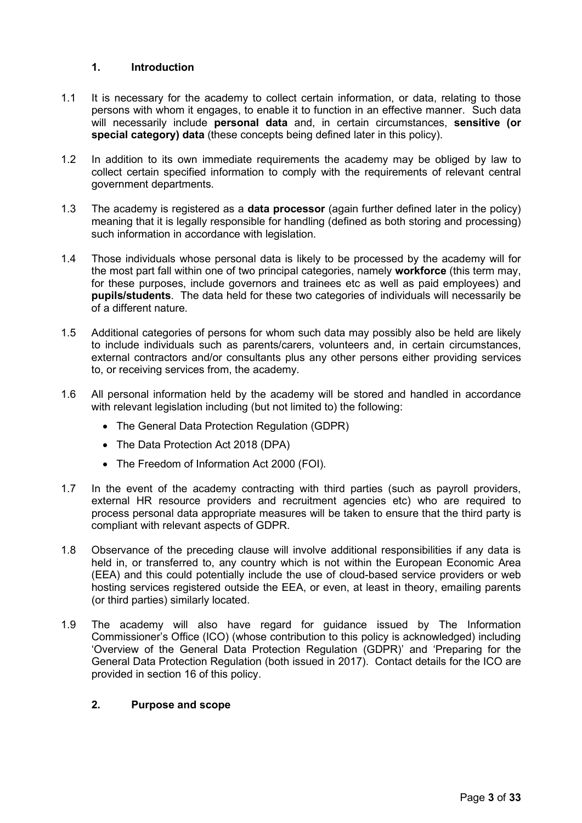## **1. Introduction**

- 1.1 It is necessary for the academy to collect certain information, or data, relating to those persons with whom it engages, to enable it to function in an effective manner. Such data will necessarily include **personal data** and, in certain circumstances, **sensitive (or special category) data** (these concepts being defined later in this policy).
- 1.2 In addition to its own immediate requirements the academy may be obliged by law to collect certain specified information to comply with the requirements of relevant central government departments.
- 1.3 The academy is registered as a **data processor** (again further defined later in the policy) meaning that it is legally responsible for handling (defined as both storing and processing) such information in accordance with legislation.
- 1.4 Those individuals whose personal data is likely to be processed by the academy will for the most part fall within one of two principal categories, namely **workforce** (this term may, for these purposes, include governors and trainees etc as well as paid employees) and **pupils/students**. The data held for these two categories of individuals will necessarily be of a different nature.
- 1.5 Additional categories of persons for whom such data may possibly also be held are likely to include individuals such as parents/carers, volunteers and, in certain circumstances, external contractors and/or consultants plus any other persons either providing services to, or receiving services from, the academy.
- 1.6 All personal information held by the academy will be stored and handled in accordance with relevant legislation including (but not limited to) the following:
	- The General Data Protection Regulation (GDPR)
	- The Data Protection Act 2018 (DPA)
	- The Freedom of Information Act 2000 (FOI).
- 1.7 In the event of the academy contracting with third parties (such as payroll providers, external HR resource providers and recruitment agencies etc) who are required to process personal data appropriate measures will be taken to ensure that the third party is compliant with relevant aspects of GDPR.
- 1.8 Observance of the preceding clause will involve additional responsibilities if any data is held in, or transferred to, any country which is not within the European Economic Area (EEA) and this could potentially include the use of cloud-based service providers or web hosting services registered outside the EEA, or even, at least in theory, emailing parents (or third parties) similarly located.
- 1.9 The academy will also have regard for guidance issued by The Information Commissioner's Office (ICO) (whose contribution to this policy is acknowledged) including 'Overview of the General Data Protection Regulation (GDPR)' and 'Preparing for the General Data Protection Regulation (both issued in 2017). Contact details for the ICO are provided in section 16 of this policy.

## <span id="page-2-0"></span>**2. Purpose and scope**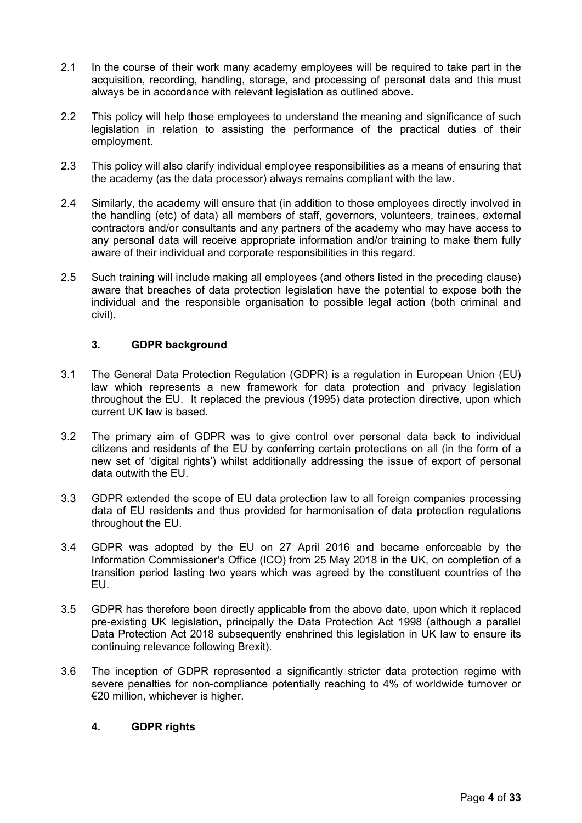- 2.1 In the course of their work many academy employees will be required to take part in the acquisition, recording, handling, storage, and processing of personal data and this must always be in accordance with relevant legislation as outlined above.
- 2.2 This policy will help those employees to understand the meaning and significance of such legislation in relation to assisting the performance of the practical duties of their employment.
- 2.3 This policy will also clarify individual employee responsibilities as a means of ensuring that the academy (as the data processor) always remains compliant with the law.
- 2.4 Similarly, the academy will ensure that (in addition to those employees directly involved in the handling (etc) of data) all members of staff, governors, volunteers, trainees, external contractors and/or consultants and any partners of the academy who may have access to any personal data will receive appropriate information and/or training to make them fully aware of their individual and corporate responsibilities in this regard.
- 2.5 Such training will include making all employees (and others listed in the preceding clause) aware that breaches of data protection legislation have the potential to expose both the individual and the responsible organisation to possible legal action (both criminal and civil).

## <span id="page-3-0"></span>**3. GDPR background**

- 3.1 The General Data Protection Regulation (GDPR) is a regulation in European Union (EU) law which represents a new framework for data protection and privacy legislation throughout the EU. It replaced the previous (1995) data protection directive, upon which current UK law is based.
- 3.2 The primary aim of GDPR was to give control over personal data back to individual citizens and residents of the EU by conferring certain protections on all (in the form of a new set of 'digital rights') whilst additionally addressing the issue of export of personal data outwith the EU.
- 3.3 GDPR extended the scope of EU data protection law to all foreign companies processing data of EU residents and thus provided for harmonisation of data protection regulations throughout the EU.
- 3.4 GDPR was adopted by the EU on 27 April 2016 and became enforceable by the Information Commissioner's Office (ICO) from 25 May 2018 in the UK, on completion of a transition period lasting two years which was agreed by the constituent countries of the EU.
- 3.5 GDPR has therefore been directly applicable from the above date, upon which it replaced pre-existing UK legislation, principally the Data Protection Act 1998 (although a parallel Data Protection Act 2018 subsequently enshrined this legislation in UK law to ensure its continuing relevance following Brexit).
- 3.6 The inception of GDPR represented a significantly stricter data protection regime with severe penalties for non-compliance potentially reaching to 4% of worldwide turnover or €20 million, whichever is higher.

## <span id="page-3-1"></span>**4. GDPR rights**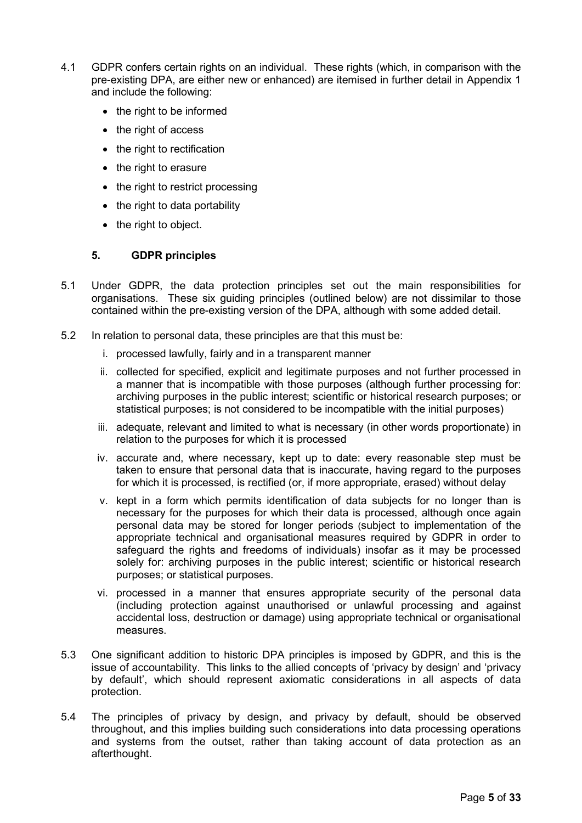- 4.1 GDPR confers certain rights on an individual. These rights (which, in comparison with the pre-existing DPA, are either new or enhanced) are itemised in further detail in Appendix 1 and include the following:
	- the right to be informed
	- the right of access
	- the right to rectification
	- the right to erasure
	- the right to restrict processing
	- the right to data portability
	- the right to object.

## <span id="page-4-0"></span>**5. GDPR principles**

- 5.1 Under GDPR, the data protection principles set out the main responsibilities for organisations. These six guiding principles (outlined below) are not dissimilar to those contained within the pre-existing version of the DPA, although with some added detail.
- 5.2 In relation to personal data, these principles are that this must be:
	- i. processed lawfully, fairly and in a transparent manner
	- ii. collected for specified, explicit and legitimate purposes and not further processed in a manner that is incompatible with those purposes (although further processing for: archiving purposes in the public interest; scientific or historical research purposes; or statistical purposes; is not considered to be incompatible with the initial purposes)
	- iii. adequate, relevant and limited to what is necessary (in other words proportionate) in relation to the purposes for which it is processed
	- iv. accurate and, where necessary, kept up to date: every reasonable step must be taken to ensure that personal data that is inaccurate, having regard to the purposes for which it is processed, is rectified (or, if more appropriate, erased) without delay
	- v. kept in a form which permits identification of data subjects for no longer than is necessary for the purposes for which their data is processed, although once again personal data may be stored for longer periods (subject to implementation of the appropriate technical and organisational measures required by GDPR in order to safeguard the rights and freedoms of individuals) insofar as it may be processed solely for: archiving purposes in the public interest; scientific or historical research purposes; or statistical purposes.
	- vi. processed in a manner that ensures appropriate security of the personal data (including protection against unauthorised or unlawful processing and against accidental loss, destruction or damage) using appropriate technical or organisational measures.
- 5.3 One significant addition to historic DPA principles is imposed by GDPR, and this is the issue of accountability. This links to the allied concepts of 'privacy by design' and 'privacy by default', which should represent axiomatic considerations in all aspects of data protection.
- 5.4 The principles of privacy by design, and privacy by default, should be observed throughout, and this implies building such considerations into data processing operations and systems from the outset, rather than taking account of data protection as an afterthought.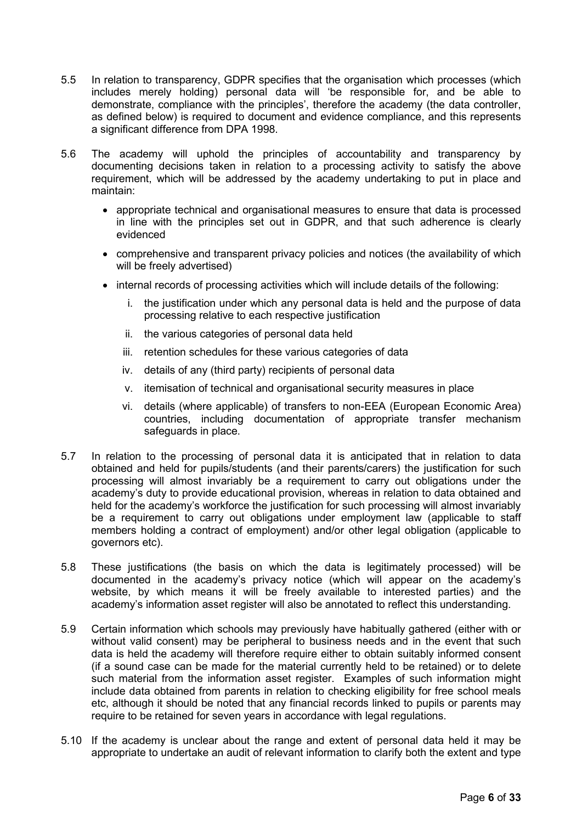- 5.5 In relation to transparency, GDPR specifies that the organisation which processes (which includes merely holding) personal data will 'be responsible for, and be able to demonstrate, compliance with the principles', therefore the academy (the data controller, as defined below) is required to document and evidence compliance, and this represents a significant difference from DPA 1998.
- 5.6 The academy will uphold the principles of accountability and transparency by documenting decisions taken in relation to a processing activity to satisfy the above requirement, which will be addressed by the academy undertaking to put in place and maintain:
	- appropriate technical and organisational measures to ensure that data is processed in line with the principles set out in GDPR, and that such adherence is clearly evidenced
	- comprehensive and transparent privacy policies and notices (the availability of which will be freely advertised)
	- internal records of processing activities which will include details of the following:
		- i. the justification under which any personal data is held and the purpose of data processing relative to each respective justification
		- ii. the various categories of personal data held
		- iii. retention schedules for these various categories of data
		- iv. details of any (third party) recipients of personal data
		- v. itemisation of technical and organisational security measures in place
		- vi. details (where applicable) of transfers to non-EEA (European Economic Area) countries, including documentation of appropriate transfer mechanism safeguards in place.
- 5.7 In relation to the processing of personal data it is anticipated that in relation to data obtained and held for pupils/students (and their parents/carers) the justification for such processing will almost invariably be a requirement to carry out obligations under the academy's duty to provide educational provision, whereas in relation to data obtained and held for the academy's workforce the justification for such processing will almost invariably be a requirement to carry out obligations under employment law (applicable to staff members holding a contract of employment) and/or other legal obligation (applicable to governors etc).
- 5.8 These justifications (the basis on which the data is legitimately processed) will be documented in the academy's privacy notice (which will appear on the academy's website, by which means it will be freely available to interested parties) and the academy's information asset register will also be annotated to reflect this understanding.
- 5.9 Certain information which schools may previously have habitually gathered (either with or without valid consent) may be peripheral to business needs and in the event that such data is held the academy will therefore require either to obtain suitably informed consent (if a sound case can be made for the material currently held to be retained) or to delete such material from the information asset register. Examples of such information might include data obtained from parents in relation to checking eligibility for free school meals etc, although it should be noted that any financial records linked to pupils or parents may require to be retained for seven years in accordance with legal regulations.
- 5.10 If the academy is unclear about the range and extent of personal data held it may be appropriate to undertake an audit of relevant information to clarify both the extent and type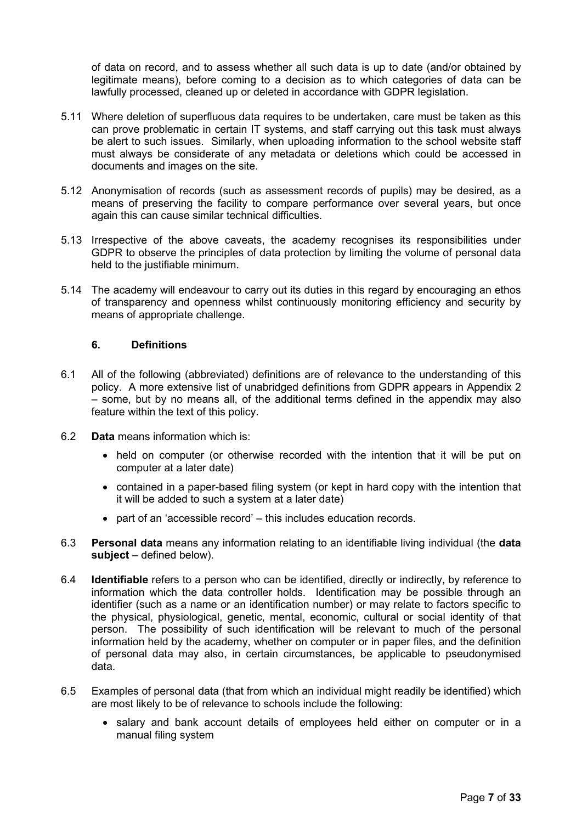of data on record, and to assess whether all such data is up to date (and/or obtained by legitimate means), before coming to a decision as to which categories of data can be lawfully processed, cleaned up or deleted in accordance with GDPR legislation.

- 5.11 Where deletion of superfluous data requires to be undertaken, care must be taken as this can prove problematic in certain IT systems, and staff carrying out this task must always be alert to such issues. Similarly, when uploading information to the school website staff must always be considerate of any metadata or deletions which could be accessed in documents and images on the site.
- 5.12 Anonymisation of records (such as assessment records of pupils) may be desired, as a means of preserving the facility to compare performance over several years, but once again this can cause similar technical difficulties.
- 5.13 Irrespective of the above caveats, the academy recognises its responsibilities under GDPR to observe the principles of data protection by limiting the volume of personal data held to the justifiable minimum.
- 5.14 The academy will endeavour to carry out its duties in this regard by encouraging an ethos of transparency and openness whilst continuously monitoring efficiency and security by means of appropriate challenge.

## <span id="page-6-0"></span>**6. Definitions**

- 6.1 All of the following (abbreviated) definitions are of relevance to the understanding of this policy. A more extensive list of unabridged definitions from GDPR appears in Appendix 2 – some, but by no means all, of the additional terms defined in the appendix may also feature within the text of this policy.
- 6.2 **Data** means information which is:
	- held on computer (or otherwise recorded with the intention that it will be put on computer at a later date)
	- contained in a paper-based filing system (or kept in hard copy with the intention that it will be added to such a system at a later date)
	- part of an 'accessible record' this includes education records.
- 6.3 **Personal data** means any information relating to an identifiable living individual (the **data subject** – defined below).
- 6.4 **Identifiable** refers to a person who can be identified, directly or indirectly, by reference to information which the data controller holds. Identification may be possible through an identifier (such as a name or an identification number) or may relate to factors specific to the physical, physiological, genetic, mental, economic, cultural or social identity of that person. The possibility of such identification will be relevant to much of the personal information held by the academy, whether on computer or in paper files, and the definition of personal data may also, in certain circumstances, be applicable to pseudonymised data.
- 6.5 Examples of personal data (that from which an individual might readily be identified) which are most likely to be of relevance to schools include the following:
	- salary and bank account details of employees held either on computer or in a manual filing system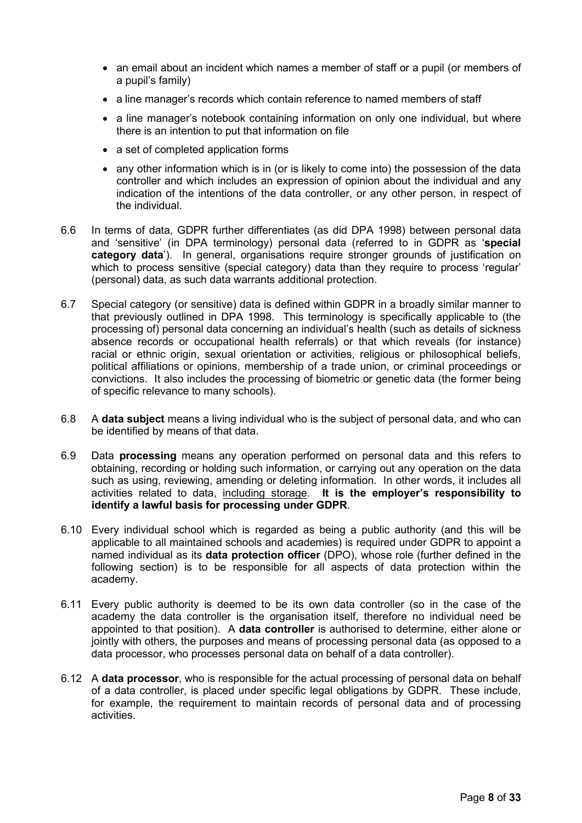- an email about an incident which names a member of staff or a pupil (or members of a pupil's family)
- a line manager's records which contain reference to named members of staff
- a line manager's notebook containing information on only one individual, but where there is an intention to put that information on file
- a set of completed application forms
- any other information which is in (or is likely to come into) the possession of the data controller and which includes an expression of opinion about the individual and any indication of the intentions of the data controller, or any other person, in respect of the individual.
- 6.6 In terms of data, GDPR further differentiates (as did DPA 1998) between personal data and 'sensitive' (in DPA terminology) personal data (referred to in GDPR as '**special category data**'). In general, organisations require stronger grounds of justification on which to process sensitive (special category) data than they require to process 'regular' (personal) data, as such data warrants additional protection.
- 6.7 Special category (or sensitive) data is defined within GDPR in a broadly similar manner to that previously outlined in DPA 1998. This terminology is specifically applicable to (the processing of) personal data concerning an individual's health (such as details of sickness absence records or occupational health referrals) or that which reveals (for instance) racial or ethnic origin, sexual orientation or activities, religious or philosophical beliefs, political affiliations or opinions, membership of a trade union, or criminal proceedings or convictions. It also includes the processing of biometric or genetic data (the former being of specific relevance to many schools).
- 6.8 A **data subject** means a living individual who is the subject of personal data, and who can be identified by means of that data.
- 6.9 Data **processing** means any operation performed on personal data and this refers to obtaining, recording or holding such information, or carrying out any operation on the data such as using, reviewing, amending or deleting information. In other words, it includes all activities related to data, including storage. **It is the employer's responsibility to identify a lawful basis for processing under GDPR**.
- 6.10 Every individual school which is regarded as being a public authority (and this will be applicable to all maintained schools and academies) is required under GDPR to appoint a named individual as its **data protection officer** (DPO), whose role (further defined in the following section) is to be responsible for all aspects of data protection within the academy.
- 6.11 Every public authority is deemed to be its own data controller (so in the case of the academy the data controller is the organisation itself, therefore no individual need be appointed to that position). A **data controller** is authorised to determine, either alone or jointly with others, the purposes and means of processing personal data (as opposed to a data processor, who processes personal data on behalf of a data controller).
- 6.12 A **data processor**, who is responsible for the actual processing of personal data on behalf of a data controller, is placed under specific legal obligations by GDPR. These include, for example, the requirement to maintain records of personal data and of processing activities.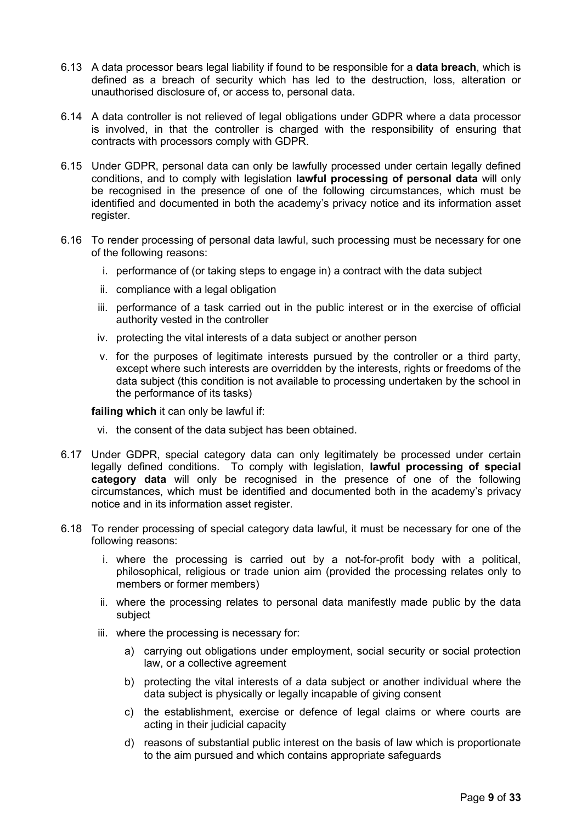- 6.13 A data processor bears legal liability if found to be responsible for a **data breach**, which is defined as a breach of security which has led to the destruction, loss, alteration or unauthorised disclosure of, or access to, personal data.
- 6.14 A data controller is not relieved of legal obligations under GDPR where a data processor is involved, in that the controller is charged with the responsibility of ensuring that contracts with processors comply with GDPR.
- 6.15 Under GDPR, personal data can only be lawfully processed under certain legally defined conditions, and to comply with legislation **lawful processing of personal data** will only be recognised in the presence of one of the following circumstances, which must be identified and documented in both the academy's privacy notice and its information asset register.
- 6.16 To render processing of personal data lawful, such processing must be necessary for one of the following reasons:
	- i. performance of (or taking steps to engage in) a contract with the data subject
	- ii. compliance with a legal obligation
	- iii. performance of a task carried out in the public interest or in the exercise of official authority vested in the controller
	- iv. protecting the vital interests of a data subject or another person
	- v. for the purposes of legitimate interests pursued by the controller or a third party, except where such interests are overridden by the interests, rights or freedoms of the data subject (this condition is not available to processing undertaken by the school in the performance of its tasks)

**failing which** it can only be lawful if:

- vi. the consent of the data subject has been obtained.
- 6.17 Under GDPR, special category data can only legitimately be processed under certain legally defined conditions. To comply with legislation, **lawful processing of special category data** will only be recognised in the presence of one of the following circumstances, which must be identified and documented both in the academy's privacy notice and in its information asset register.
- 6.18 To render processing of special category data lawful, it must be necessary for one of the following reasons:
	- i. where the processing is carried out by a not-for-profit body with a political, philosophical, religious or trade union aim (provided the processing relates only to members or former members)
	- ii. where the processing relates to personal data manifestly made public by the data subject
	- iii. where the processing is necessary for:
		- a) carrying out obligations under employment, social security or social protection law, or a collective agreement
		- b) protecting the vital interests of a data subject or another individual where the data subject is physically or legally incapable of giving consent
		- c) the establishment, exercise or defence of legal claims or where courts are acting in their judicial capacity
		- d) reasons of substantial public interest on the basis of law which is proportionate to the aim pursued and which contains appropriate safeguards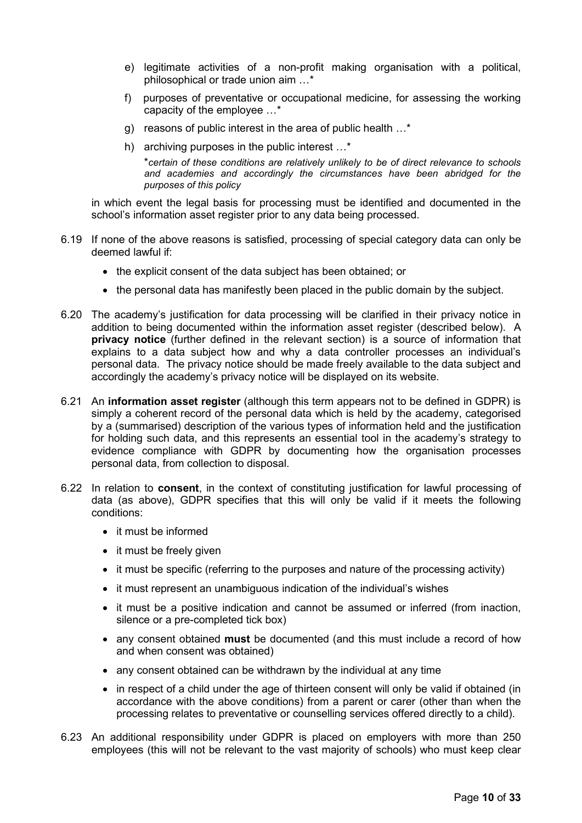- e) legitimate activities of a non-profit making organisation with a political, philosophical or trade union aim …\*
- f) purposes of preventative or occupational medicine, for assessing the working capacity of the employee …\*
- g) reasons of public interest in the area of public health …\*
- h) archiving purposes in the public interest …\*

\**certain of these conditions are relatively unlikely to be of direct relevance to schools and academies and accordingly the circumstances have been abridged for the purposes of this policy*

in which event the legal basis for processing must be identified and documented in the school's information asset register prior to any data being processed.

- 6.19 If none of the above reasons is satisfied, processing of special category data can only be deemed lawful if:
	- the explicit consent of the data subject has been obtained; or
	- the personal data has manifestly been placed in the public domain by the subject.
- 6.20 The academy's justification for data processing will be clarified in their privacy notice in addition to being documented within the information asset register (described below). A **privacy notice** (further defined in the relevant section) is a source of information that explains to a data subject how and why a data controller processes an individual's personal data. The privacy notice should be made freely available to the data subject and accordingly the academy's privacy notice will be displayed on its website.
- 6.21 An **information asset register** (although this term appears not to be defined in GDPR) is simply a coherent record of the personal data which is held by the academy, categorised by a (summarised) description of the various types of information held and the justification for holding such data, and this represents an essential tool in the academy's strategy to evidence compliance with GDPR by documenting how the organisation processes personal data, from collection to disposal.
- 6.22 In relation to **consent**, in the context of constituting justification for lawful processing of data (as above), GDPR specifies that this will only be valid if it meets the following conditions:
	- it must be informed
	- it must be freely given
	- it must be specific (referring to the purposes and nature of the processing activity)
	- it must represent an unambiguous indication of the individual's wishes
	- it must be a positive indication and cannot be assumed or inferred (from inaction, silence or a pre-completed tick box)
	- any consent obtained **must** be documented (and this must include a record of how and when consent was obtained)
	- any consent obtained can be withdrawn by the individual at any time
	- in respect of a child under the age of thirteen consent will only be valid if obtained (in accordance with the above conditions) from a parent or carer (other than when the processing relates to preventative or counselling services offered directly to a child).
- 6.23 An additional responsibility under GDPR is placed on employers with more than 250 employees (this will not be relevant to the vast majority of schools) who must keep clear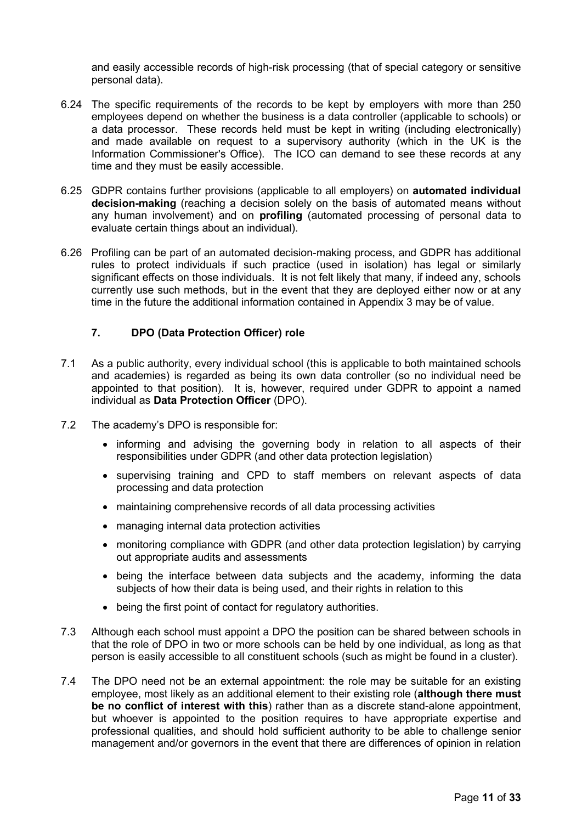and easily accessible records of high-risk processing (that of special category or sensitive personal data).

- 6.24 The specific requirements of the records to be kept by employers with more than 250 employees depend on whether the business is a data controller (applicable to schools) or a data processor. These records held must be kept in writing (including electronically) and made available on request to a supervisory authority (which in the UK is the Information Commissioner's Office). The ICO can demand to see these records at any time and they must be easily accessible.
- 6.25 GDPR contains further provisions (applicable to all employers) on **automated individual decision-making** (reaching a decision solely on the basis of automated means without any human involvement) and on **profiling** (automated processing of personal data to evaluate certain things about an individual).
- 6.26 Profiling can be part of an automated decision-making process, and GDPR has additional rules to protect individuals if such practice (used in isolation) has legal or similarly significant effects on those individuals. It is not felt likely that many, if indeed any, schools currently use such methods, but in the event that they are deployed either now or at any time in the future the additional information contained in Appendix 3 may be of value.

## <span id="page-10-0"></span>**7. DPO (Data Protection Officer) role**

- 7.1 As a public authority, every individual school (this is applicable to both maintained schools and academies) is regarded as being its own data controller (so no individual need be appointed to that position). It is, however, required under GDPR to appoint a named individual as **Data Protection Officer** (DPO).
- 7.2 The academy's DPO is responsible for:
	- informing and advising the governing body in relation to all aspects of their responsibilities under GDPR (and other data protection legislation)
	- supervising training and CPD to staff members on relevant aspects of data processing and data protection
	- maintaining comprehensive records of all data processing activities
	- managing internal data protection activities
	- monitoring compliance with GDPR (and other data protection legislation) by carrying out appropriate audits and assessments
	- being the interface between data subjects and the academy, informing the data subjects of how their data is being used, and their rights in relation to this
	- being the first point of contact for regulatory authorities.
- 7.3 Although each school must appoint a DPO the position can be shared between schools in that the role of DPO in two or more schools can be held by one individual, as long as that person is easily accessible to all constituent schools (such as might be found in a cluster).
- 7.4 The DPO need not be an external appointment: the role may be suitable for an existing employee, most likely as an additional element to their existing role (**although there must be no conflict of interest with this**) rather than as a discrete stand-alone appointment, but whoever is appointed to the position requires to have appropriate expertise and professional qualities, and should hold sufficient authority to be able to challenge senior management and/or governors in the event that there are differences of opinion in relation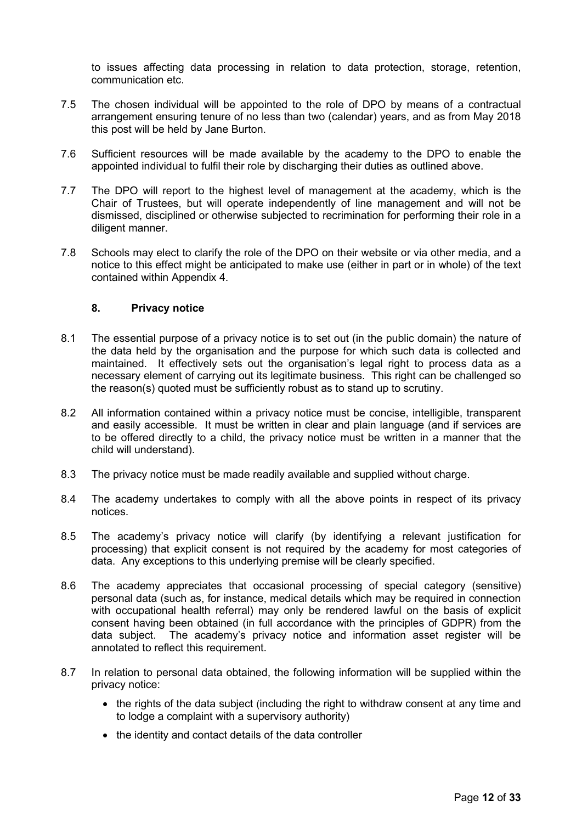to issues affecting data processing in relation to data protection, storage, retention, communication etc.

- 7.5 The chosen individual will be appointed to the role of DPO by means of a contractual arrangement ensuring tenure of no less than two (calendar) years, and as from May 2018 this post will be held by Jane Burton.
- 7.6 Sufficient resources will be made available by the academy to the DPO to enable the appointed individual to fulfil their role by discharging their duties as outlined above.
- 7.7 The DPO will report to the highest level of management at the academy, which is the Chair of Trustees, but will operate independently of line management and will not be dismissed, disciplined or otherwise subjected to recrimination for performing their role in a diligent manner.
- 7.8 Schools may elect to clarify the role of the DPO on their website or via other media, and a notice to this effect might be anticipated to make use (either in part or in whole) of the text contained within Appendix 4.

## <span id="page-11-0"></span>**8. Privacy notice**

- 8.1 The essential purpose of a privacy notice is to set out (in the public domain) the nature of the data held by the organisation and the purpose for which such data is collected and maintained. It effectively sets out the organisation's legal right to process data as a necessary element of carrying out its legitimate business. This right can be challenged so the reason(s) quoted must be sufficiently robust as to stand up to scrutiny.
- 8.2 All information contained within a privacy notice must be concise, intelligible, transparent and easily accessible. It must be written in clear and plain language (and if services are to be offered directly to a child, the privacy notice must be written in a manner that the child will understand).
- 8.3 The privacy notice must be made readily available and supplied without charge.
- 8.4 The academy undertakes to comply with all the above points in respect of its privacy notices.
- 8.5 The academy's privacy notice will clarify (by identifying a relevant justification for processing) that explicit consent is not required by the academy for most categories of data. Any exceptions to this underlying premise will be clearly specified.
- 8.6 The academy appreciates that occasional processing of special category (sensitive) personal data (such as, for instance, medical details which may be required in connection with occupational health referral) may only be rendered lawful on the basis of explicit consent having been obtained (in full accordance with the principles of GDPR) from the data subject. The academy's privacy notice and information asset register will be annotated to reflect this requirement.
- 8.7 In relation to personal data obtained, the following information will be supplied within the privacy notice:
	- the rights of the data subject (including the right to withdraw consent at any time and to lodge a complaint with a supervisory authority)
	- the identity and contact details of the data controller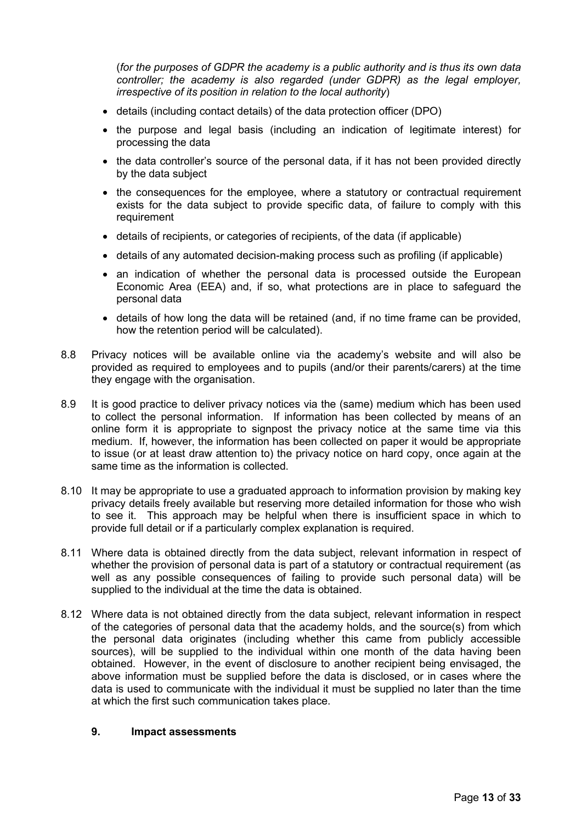(*for the purposes of GDPR the academy is a public authority and is thus its own data controller; the academy is also regarded (under GDPR) as the legal employer, irrespective of its position in relation to the local authority*)

- details (including contact details) of the data protection officer (DPO)
- the purpose and legal basis (including an indication of legitimate interest) for processing the data
- the data controller's source of the personal data, if it has not been provided directly by the data subject
- the consequences for the employee, where a statutory or contractual requirement exists for the data subject to provide specific data, of failure to comply with this requirement
- details of recipients, or categories of recipients, of the data (if applicable)
- details of any automated decision-making process such as profiling (if applicable)
- an indication of whether the personal data is processed outside the European Economic Area (EEA) and, if so, what protections are in place to safeguard the personal data
- details of how long the data will be retained (and, if no time frame can be provided, how the retention period will be calculated).
- 8.8 Privacy notices will be available online via the academy's website and will also be provided as required to employees and to pupils (and/or their parents/carers) at the time they engage with the organisation.
- 8.9 It is good practice to deliver privacy notices via the (same) medium which has been used to collect the personal information. If information has been collected by means of an online form it is appropriate to signpost the privacy notice at the same time via this medium. If, however, the information has been collected on paper it would be appropriate to issue (or at least draw attention to) the privacy notice on hard copy, once again at the same time as the information is collected.
- 8.10 It may be appropriate to use a graduated approach to information provision by making key privacy details freely available but reserving more detailed information for those who wish to see it. This approach may be helpful when there is insufficient space in which to provide full detail or if a particularly complex explanation is required.
- 8.11 Where data is obtained directly from the data subject, relevant information in respect of whether the provision of personal data is part of a statutory or contractual requirement (as well as any possible consequences of failing to provide such personal data) will be supplied to the individual at the time the data is obtained.
- 8.12 Where data is not obtained directly from the data subject, relevant information in respect of the categories of personal data that the academy holds, and the source(s) from which the personal data originates (including whether this came from publicly accessible sources), will be supplied to the individual within one month of the data having been obtained. However, in the event of disclosure to another recipient being envisaged, the above information must be supplied before the data is disclosed, or in cases where the data is used to communicate with the individual it must be supplied no later than the time at which the first such communication takes place.

#### <span id="page-12-0"></span>**9. Impact assessments**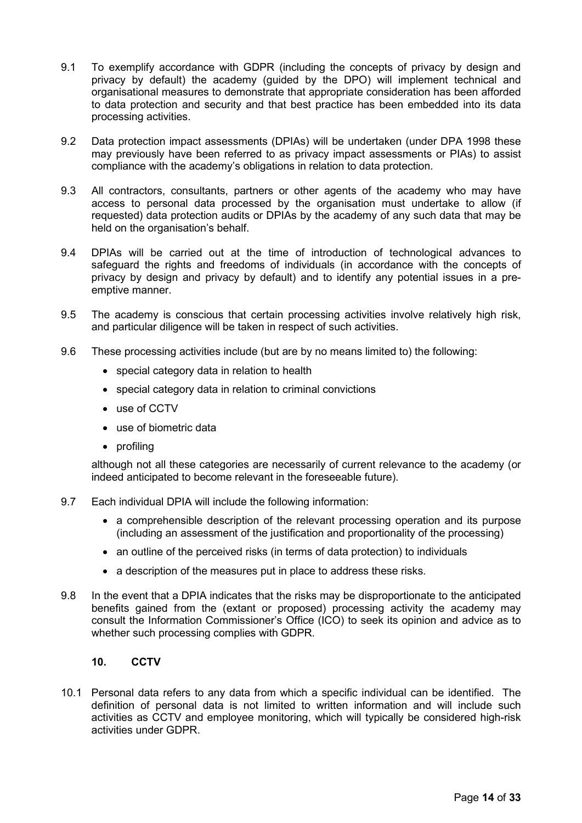- 9.1 To exemplify accordance with GDPR (including the concepts of privacy by design and privacy by default) the academy (guided by the DPO) will implement technical and organisational measures to demonstrate that appropriate consideration has been afforded to data protection and security and that best practice has been embedded into its data processing activities.
- 9.2 Data protection impact assessments (DPIAs) will be undertaken (under DPA 1998 these may previously have been referred to as privacy impact assessments or PIAs) to assist compliance with the academy's obligations in relation to data protection.
- 9.3 All contractors, consultants, partners or other agents of the academy who may have access to personal data processed by the organisation must undertake to allow (if requested) data protection audits or DPIAs by the academy of any such data that may be held on the organisation's behalf.
- 9.4 DPIAs will be carried out at the time of introduction of technological advances to safeguard the rights and freedoms of individuals (in accordance with the concepts of privacy by design and privacy by default) and to identify any potential issues in a preemptive manner.
- 9.5 The academy is conscious that certain processing activities involve relatively high risk, and particular diligence will be taken in respect of such activities.
- 9.6 These processing activities include (but are by no means limited to) the following:
	- special category data in relation to health
	- special category data in relation to criminal convictions
	- use of CCTV
	- use of biometric data
	- profiling

although not all these categories are necessarily of current relevance to the academy (or indeed anticipated to become relevant in the foreseeable future).

- 9.7 Each individual DPIA will include the following information:
	- a comprehensible description of the relevant processing operation and its purpose (including an assessment of the justification and proportionality of the processing)
	- an outline of the perceived risks (in terms of data protection) to individuals
	- a description of the measures put in place to address these risks.
- 9.8 In the event that a DPIA indicates that the risks may be disproportionate to the anticipated benefits gained from the (extant or proposed) processing activity the academy may consult the Information Commissioner's Office (ICO) to seek its opinion and advice as to whether such processing complies with GDPR.

## <span id="page-13-0"></span>**10. CCTV**

10.1 Personal data refers to any data from which a specific individual can be identified. The definition of personal data is not limited to written information and will include such activities as CCTV and employee monitoring, which will typically be considered high-risk activities under GDPR.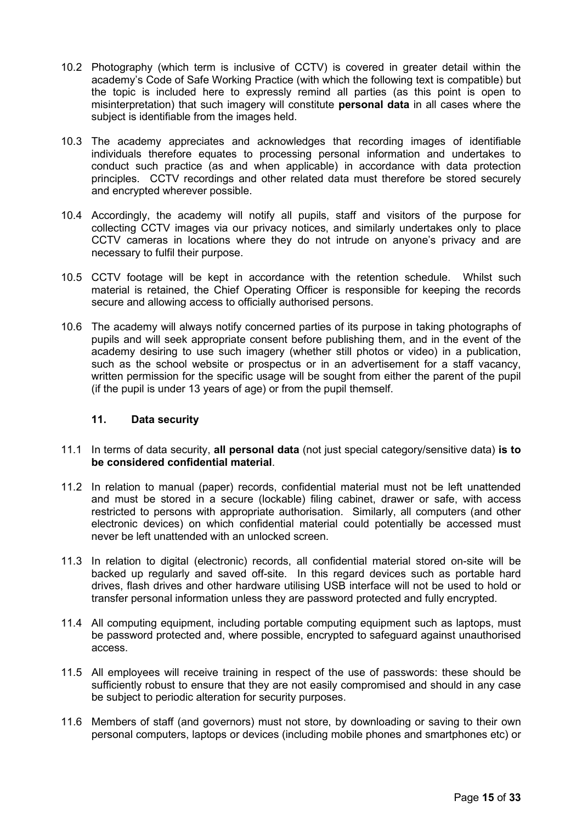- 10.2 Photography (which term is inclusive of CCTV) is covered in greater detail within the academy's Code of Safe Working Practice (with which the following text is compatible) but the topic is included here to expressly remind all parties (as this point is open to misinterpretation) that such imagery will constitute **personal data** in all cases where the subject is identifiable from the images held.
- 10.3 The academy appreciates and acknowledges that recording images of identifiable individuals therefore equates to processing personal information and undertakes to conduct such practice (as and when applicable) in accordance with data protection principles. CCTV recordings and other related data must therefore be stored securely and encrypted wherever possible.
- 10.4 Accordingly, the academy will notify all pupils, staff and visitors of the purpose for collecting CCTV images via our privacy notices, and similarly undertakes only to place CCTV cameras in locations where they do not intrude on anyone's privacy and are necessary to fulfil their purpose.
- 10.5 CCTV footage will be kept in accordance with the retention schedule. Whilst such material is retained, the Chief Operating Officer is responsible for keeping the records secure and allowing access to officially authorised persons.
- 10.6 The academy will always notify concerned parties of its purpose in taking photographs of pupils and will seek appropriate consent before publishing them, and in the event of the academy desiring to use such imagery (whether still photos or video) in a publication, such as the school website or prospectus or in an advertisement for a staff vacancy, written permission for the specific usage will be sought from either the parent of the pupil (if the pupil is under 13 years of age) or from the pupil themself.

## <span id="page-14-0"></span>**11. Data security**

- 11.1 In terms of data security, **all personal data** (not just special category/sensitive data) **is to be considered confidential material**.
- 11.2 In relation to manual (paper) records, confidential material must not be left unattended and must be stored in a secure (lockable) filing cabinet, drawer or safe, with access restricted to persons with appropriate authorisation. Similarly, all computers (and other electronic devices) on which confidential material could potentially be accessed must never be left unattended with an unlocked screen.
- 11.3 In relation to digital (electronic) records, all confidential material stored on-site will be backed up regularly and saved off-site. In this regard devices such as portable hard drives, flash drives and other hardware utilising USB interface will not be used to hold or transfer personal information unless they are password protected and fully encrypted.
- 11.4 All computing equipment, including portable computing equipment such as laptops, must be password protected and, where possible, encrypted to safeguard against unauthorised access.
- 11.5 All employees will receive training in respect of the use of passwords: these should be sufficiently robust to ensure that they are not easily compromised and should in any case be subject to periodic alteration for security purposes.
- 11.6 Members of staff (and governors) must not store, by downloading or saving to their own personal computers, laptops or devices (including mobile phones and smartphones etc) or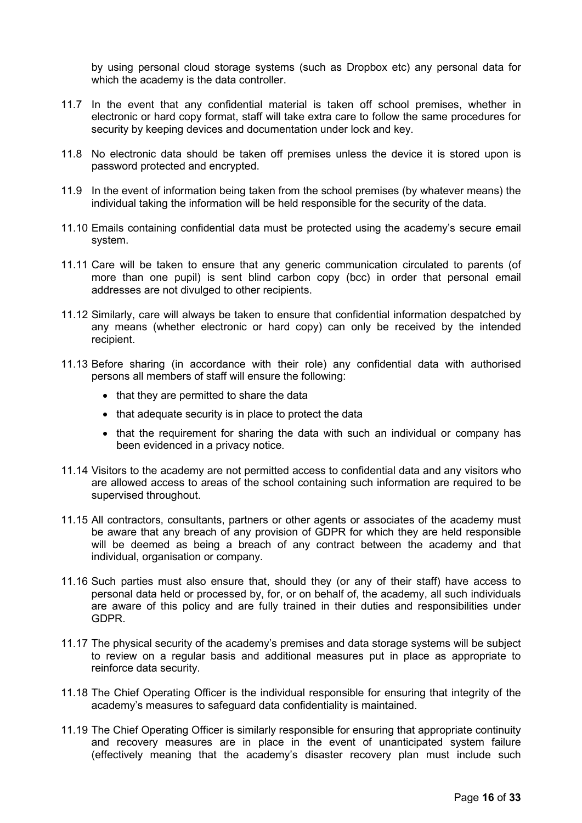by using personal cloud storage systems (such as Dropbox etc) any personal data for which the academy is the data controller.

- 11.7 In the event that any confidential material is taken off school premises, whether in electronic or hard copy format, staff will take extra care to follow the same procedures for security by keeping devices and documentation under lock and key.
- 11.8 No electronic data should be taken off premises unless the device it is stored upon is password protected and encrypted.
- 11.9 In the event of information being taken from the school premises (by whatever means) the individual taking the information will be held responsible for the security of the data.
- 11.10 Emails containing confidential data must be protected using the academy's secure email system.
- 11.11 Care will be taken to ensure that any generic communication circulated to parents (of more than one pupil) is sent blind carbon copy (bcc) in order that personal email addresses are not divulged to other recipients.
- 11.12 Similarly, care will always be taken to ensure that confidential information despatched by any means (whether electronic or hard copy) can only be received by the intended recipient.
- 11.13 Before sharing (in accordance with their role) any confidential data with authorised persons all members of staff will ensure the following:
	- that they are permitted to share the data
	- that adequate security is in place to protect the data
	- that the requirement for sharing the data with such an individual or company has been evidenced in a privacy notice.
- 11.14 Visitors to the academy are not permitted access to confidential data and any visitors who are allowed access to areas of the school containing such information are required to be supervised throughout.
- 11.15 All contractors, consultants, partners or other agents or associates of the academy must be aware that any breach of any provision of GDPR for which they are held responsible will be deemed as being a breach of any contract between the academy and that individual, organisation or company.
- 11.16 Such parties must also ensure that, should they (or any of their staff) have access to personal data held or processed by, for, or on behalf of, the academy, all such individuals are aware of this policy and are fully trained in their duties and responsibilities under GDPR.
- 11.17 The physical security of the academy's premises and data storage systems will be subject to review on a regular basis and additional measures put in place as appropriate to reinforce data security.
- 11.18 The Chief Operating Officer is the individual responsible for ensuring that integrity of the academy's measures to safeguard data confidentiality is maintained.
- 11.19 The Chief Operating Officer is similarly responsible for ensuring that appropriate continuity and recovery measures are in place in the event of unanticipated system failure (effectively meaning that the academy's disaster recovery plan must include such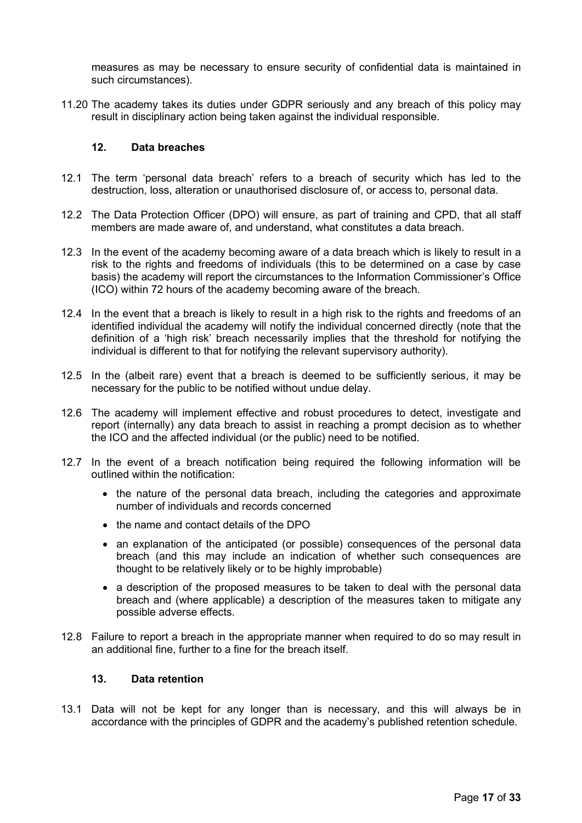measures as may be necessary to ensure security of confidential data is maintained in such circumstances).

11.20 The academy takes its duties under GDPR seriously and any breach of this policy may result in disciplinary action being taken against the individual responsible.

## <span id="page-16-0"></span>**12. Data breaches**

- 12.1 The term 'personal data breach' refers to a breach of security which has led to the destruction, loss, alteration or unauthorised disclosure of, or access to, personal data.
- 12.2 The Data Protection Officer (DPO) will ensure, as part of training and CPD, that all staff members are made aware of, and understand, what constitutes a data breach.
- 12.3 In the event of the academy becoming aware of a data breach which is likely to result in a risk to the rights and freedoms of individuals (this to be determined on a case by case basis) the academy will report the circumstances to the Information Commissioner's Office (ICO) within 72 hours of the academy becoming aware of the breach.
- 12.4 In the event that a breach is likely to result in a high risk to the rights and freedoms of an identified individual the academy will notify the individual concerned directly (note that the definition of a 'high risk' breach necessarily implies that the threshold for notifying the individual is different to that for notifying the relevant supervisory authority).
- 12.5 In the (albeit rare) event that a breach is deemed to be sufficiently serious, it may be necessary for the public to be notified without undue delay.
- 12.6 The academy will implement effective and robust procedures to detect, investigate and report (internally) any data breach to assist in reaching a prompt decision as to whether the ICO and the affected individual (or the public) need to be notified.
- 12.7 In the event of a breach notification being required the following information will be outlined within the notification:
	- the nature of the personal data breach, including the categories and approximate number of individuals and records concerned
	- the name and contact details of the DPO
	- an explanation of the anticipated (or possible) consequences of the personal data breach (and this may include an indication of whether such consequences are thought to be relatively likely or to be highly improbable)
	- a description of the proposed measures to be taken to deal with the personal data breach and (where applicable) a description of the measures taken to mitigate any possible adverse effects.
- 12.8 Failure to report a breach in the appropriate manner when required to do so may result in an additional fine, further to a fine for the breach itself.

## <span id="page-16-1"></span>**13. Data retention**

13.1 Data will not be kept for any longer than is necessary, and this will always be in accordance with the principles of GDPR and the academy's published retention schedule.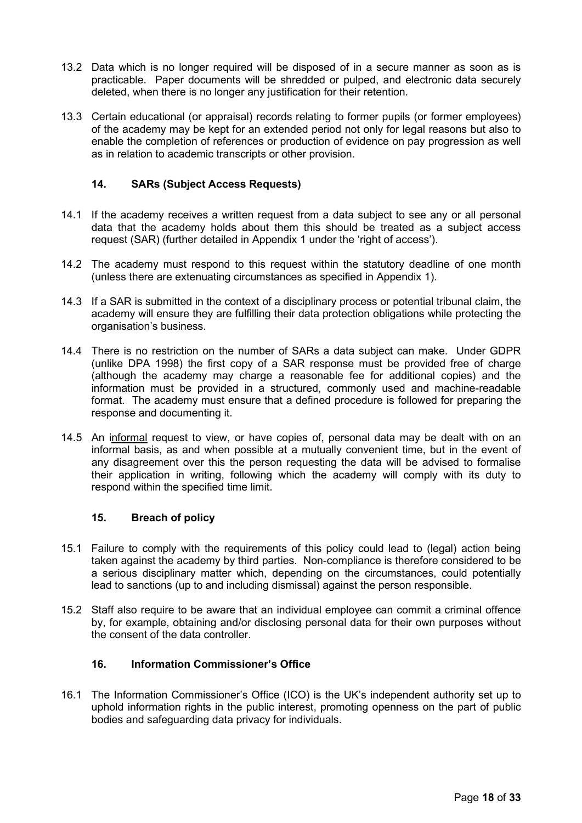- 13.2 Data which is no longer required will be disposed of in a secure manner as soon as is practicable. Paper documents will be shredded or pulped, and electronic data securely deleted, when there is no longer any justification for their retention.
- 13.3 Certain educational (or appraisal) records relating to former pupils (or former employees) of the academy may be kept for an extended period not only for legal reasons but also to enable the completion of references or production of evidence on pay progression as well as in relation to academic transcripts or other provision.

## <span id="page-17-0"></span>**14. SARs (Subject Access Requests)**

- 14.1 If the academy receives a written request from a data subject to see any or all personal data that the academy holds about them this should be treated as a subject access request (SAR) (further detailed in Appendix 1 under the 'right of access').
- 14.2 The academy must respond to this request within the statutory deadline of one month (unless there are extenuating circumstances as specified in Appendix 1).
- 14.3 If a SAR is submitted in the context of a disciplinary process or potential tribunal claim, the academy will ensure they are fulfilling their data protection obligations while protecting the organisation's business.
- 14.4 There is no restriction on the number of SARs a data subject can make. Under GDPR (unlike DPA 1998) the first copy of a SAR response must be provided free of charge (although the academy may charge a reasonable fee for additional copies) and the information must be provided in a structured, commonly used and machine-readable format. The academy must ensure that a defined procedure is followed for preparing the response and documenting it.
- 14.5 An informal request to view, or have copies of, personal data may be dealt with on an informal basis, as and when possible at a mutually convenient time, but in the event of any disagreement over this the person requesting the data will be advised to formalise their application in writing, following which the academy will comply with its duty to respond within the specified time limit.

## <span id="page-17-1"></span>**15. Breach of policy**

- 15.1 Failure to comply with the requirements of this policy could lead to (legal) action being taken against the academy by third parties. Non-compliance is therefore considered to be a serious disciplinary matter which, depending on the circumstances, could potentially lead to sanctions (up to and including dismissal) against the person responsible.
- 15.2 Staff also require to be aware that an individual employee can commit a criminal offence by, for example, obtaining and/or disclosing personal data for their own purposes without the consent of the data controller.

## <span id="page-17-2"></span>**16. Information Commissioner's Office**

16.1 The Information Commissioner's Office (ICO) is the UK's independent authority set up to uphold information rights in the public interest, promoting openness on the part of public bodies and safeguarding data privacy for individuals.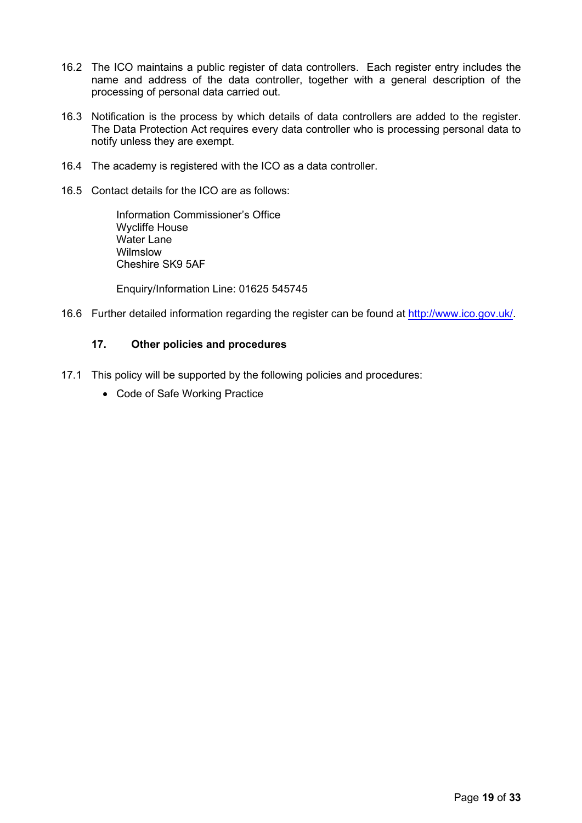- 16.2 The ICO maintains a public register of data controllers. Each register entry includes the name and address of the data controller, together with a general description of the processing of personal data carried out.
- 16.3 Notification is the process by which details of data controllers are added to the register. The Data Protection Act requires every data controller who is processing personal data to notify unless they are exempt.
- 16.4 The academy is registered with the ICO as a data controller.
- 16.5 Contact details for the ICO are as follows:

Information Commissioner's Office Wycliffe House Water Lane Wilmslow Cheshire SK9 5AF

Enquiry/Information Line: 01625 545745

<span id="page-18-0"></span>16.6 Further detailed information regarding the register can be found at [http://www.ico.gov.uk/.](http://www.ico.gov.uk/)

## **17. Other policies and procedures**

- 17.1 This policy will be supported by the following policies and procedures:
	- Code of Safe Working Practice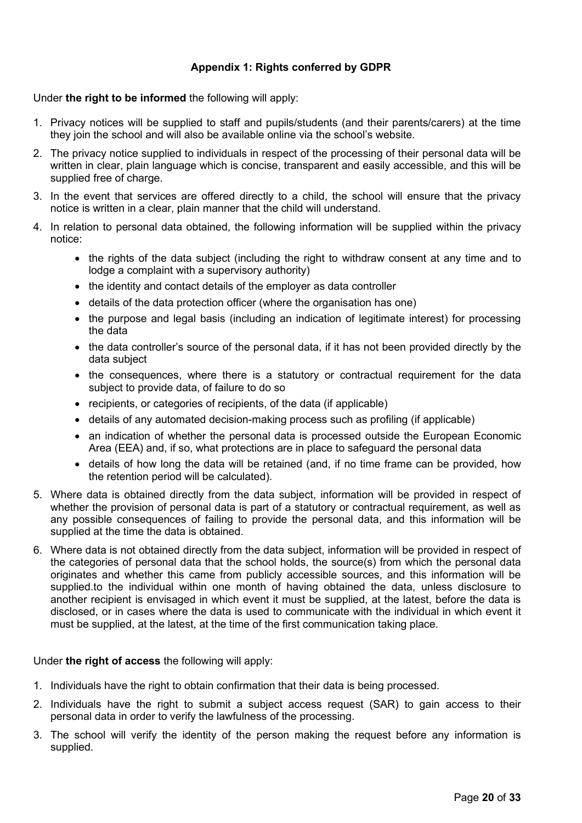# **Appendix 1: Rights conferred by GDPR**

## <span id="page-19-0"></span>Under **the right to be informed** the following will apply:

- 1. Privacy notices will be supplied to staff and pupils/students (and their parents/carers) at the time they join the school and will also be available online via the school's website.
- 2. The privacy notice supplied to individuals in respect of the processing of their personal data will be written in clear, plain language which is concise, transparent and easily accessible, and this will be supplied free of charge.
- 3. In the event that services are offered directly to a child, the school will ensure that the privacy notice is written in a clear, plain manner that the child will understand.
- 4. In relation to personal data obtained, the following information will be supplied within the privacy notice:
	- the rights of the data subject (including the right to withdraw consent at any time and to lodge a complaint with a supervisory authority)
	- the identity and contact details of the employer as data controller
	- details of the data protection officer (where the organisation has one)
	- the purpose and legal basis (including an indication of legitimate interest) for processing the data
	- the data controller's source of the personal data, if it has not been provided directly by the data subject
	- the consequences, where there is a statutory or contractual requirement for the data subject to provide data, of failure to do so
	- recipients, or categories of recipients, of the data (if applicable)
	- details of any automated decision-making process such as profiling (if applicable)
	- an indication of whether the personal data is processed outside the European Economic Area (EEA) and, if so, what protections are in place to safeguard the personal data
	- details of how long the data will be retained (and, if no time frame can be provided, how the retention period will be calculated).
- 5. Where data is obtained directly from the data subject, information will be provided in respect of whether the provision of personal data is part of a statutory or contractual requirement, as well as any possible consequences of failing to provide the personal data, and this information will be supplied at the time the data is obtained.
- 6. Where data is not obtained directly from the data subject, information will be provided in respect of the categories of personal data that the school holds, the source(s) from which the personal data originates and whether this came from publicly accessible sources, and this information will be supplied.to the individual within one month of having obtained the data, unless disclosure to another recipient is envisaged in which event it must be supplied, at the latest, before the data is disclosed, or in cases where the data is used to communicate with the individual in which event it must be supplied, at the latest, at the time of the first communication taking place.

## Under **the right of access** the following will apply:

- 1. Individuals have the right to obtain confirmation that their data is being processed.
- 2. Individuals have the right to submit a subject access request (SAR) to gain access to their personal data in order to verify the lawfulness of the processing.
- 3. The school will verify the identity of the person making the request before any information is supplied.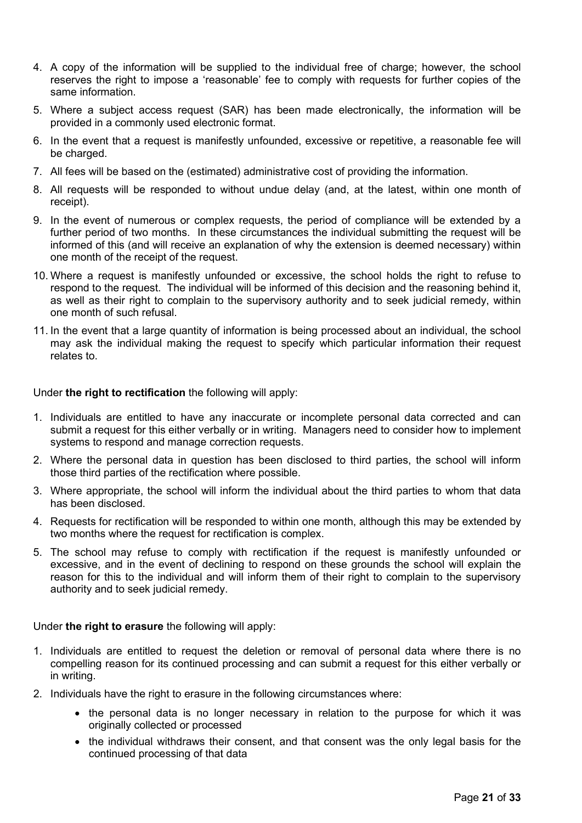- 4. A copy of the information will be supplied to the individual free of charge; however, the school reserves the right to impose a 'reasonable' fee to comply with requests for further copies of the same information.
- 5. Where a subject access request (SAR) has been made electronically, the information will be provided in a commonly used electronic format.
- 6. In the event that a request is manifestly unfounded, excessive or repetitive, a reasonable fee will be charged.
- 7. All fees will be based on the (estimated) administrative cost of providing the information.
- 8. All requests will be responded to without undue delay (and, at the latest, within one month of receipt).
- 9. In the event of numerous or complex requests, the period of compliance will be extended by a further period of two months. In these circumstances the individual submitting the request will be informed of this (and will receive an explanation of why the extension is deemed necessary) within one month of the receipt of the request.
- 10. Where a request is manifestly unfounded or excessive, the school holds the right to refuse to respond to the request. The individual will be informed of this decision and the reasoning behind it, as well as their right to complain to the supervisory authority and to seek judicial remedy, within one month of such refusal.
- 11. In the event that a large quantity of information is being processed about an individual, the school may ask the individual making the request to specify which particular information their request relates to.

Under **the right to rectification** the following will apply:

- 1. Individuals are entitled to have any inaccurate or incomplete personal data corrected and can submit a request for this either verbally or in writing. Managers need to consider how to implement systems to respond and manage correction requests.
- 2. Where the personal data in question has been disclosed to third parties, the school will inform those third parties of the rectification where possible.
- 3. Where appropriate, the school will inform the individual about the third parties to whom that data has been disclosed.
- 4. Requests for rectification will be responded to within one month, although this may be extended by two months where the request for rectification is complex.
- 5. The school may refuse to comply with rectification if the request is manifestly unfounded or excessive, and in the event of declining to respond on these grounds the school will explain the reason for this to the individual and will inform them of their right to complain to the supervisory authority and to seek judicial remedy.

Under **the right to erasure** the following will apply:

- 1. Individuals are entitled to request the deletion or removal of personal data where there is no compelling reason for its continued processing and can submit a request for this either verbally or in writing.
- 2. Individuals have the right to erasure in the following circumstances where:
	- the personal data is no longer necessary in relation to the purpose for which it was originally collected or processed
	- the individual withdraws their consent, and that consent was the only legal basis for the continued processing of that data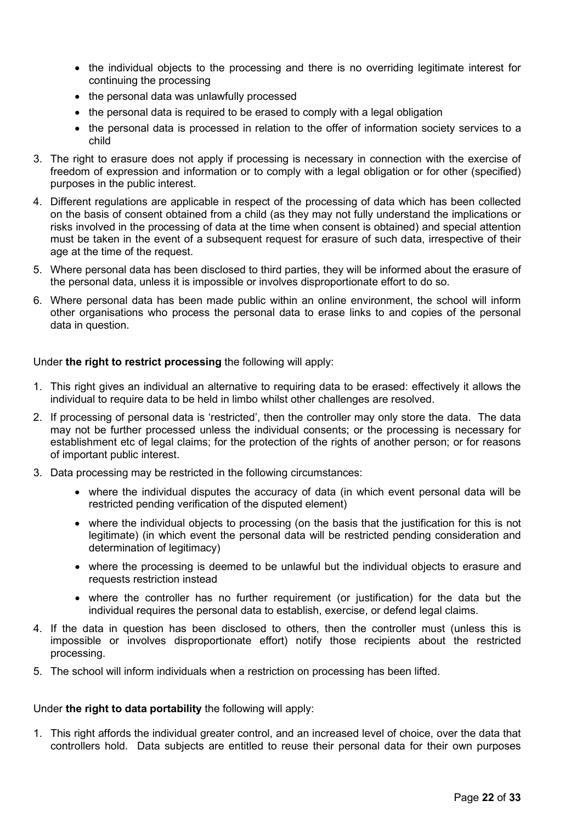- the individual objects to the processing and there is no overriding legitimate interest for continuing the processing
- the personal data was unlawfully processed
- the personal data is required to be erased to comply with a legal obligation
- the personal data is processed in relation to the offer of information society services to a child
- 3. The right to erasure does not apply if processing is necessary in connection with the exercise of freedom of expression and information or to comply with a legal obligation or for other (specified) purposes in the public interest.
- 4. Different regulations are applicable in respect of the processing of data which has been collected on the basis of consent obtained from a child (as they may not fully understand the implications or risks involved in the processing of data at the time when consent is obtained) and special attention must be taken in the event of a subsequent request for erasure of such data, irrespective of their age at the time of the request.
- 5. Where personal data has been disclosed to third parties, they will be informed about the erasure of the personal data, unless it is impossible or involves disproportionate effort to do so.
- 6. Where personal data has been made public within an online environment, the school will inform other organisations who process the personal data to erase links to and copies of the personal data in question.

## Under **the right to restrict processing** the following will apply:

- 1. This right gives an individual an alternative to requiring data to be erased: effectively it allows the individual to require data to be held in limbo whilst other challenges are resolved.
- 2. If processing of personal data is 'restricted', then the controller may only store the data. The data may not be further processed unless the individual consents; or the processing is necessary for establishment etc of legal claims; for the protection of the rights of another person; or for reasons of important public interest.
- 3. Data processing may be restricted in the following circumstances:
	- where the individual disputes the accuracy of data (in which event personal data will be restricted pending verification of the disputed element)
	- where the individual objects to processing (on the basis that the justification for this is not legitimate) (in which event the personal data will be restricted pending consideration and determination of legitimacy)
	- where the processing is deemed to be unlawful but the individual objects to erasure and requests restriction instead
	- where the controller has no further requirement (or justification) for the data but the individual requires the personal data to establish, exercise, or defend legal claims.
- 4. If the data in question has been disclosed to others, then the controller must (unless this is impossible or involves disproportionate effort) notify those recipients about the restricted processing.
- 5. The school will inform individuals when a restriction on processing has been lifted.

## Under **the right to data portability** the following will apply:

1. This right affords the individual greater control, and an increased level of choice, over the data that controllers hold. Data subjects are entitled to reuse their personal data for their own purposes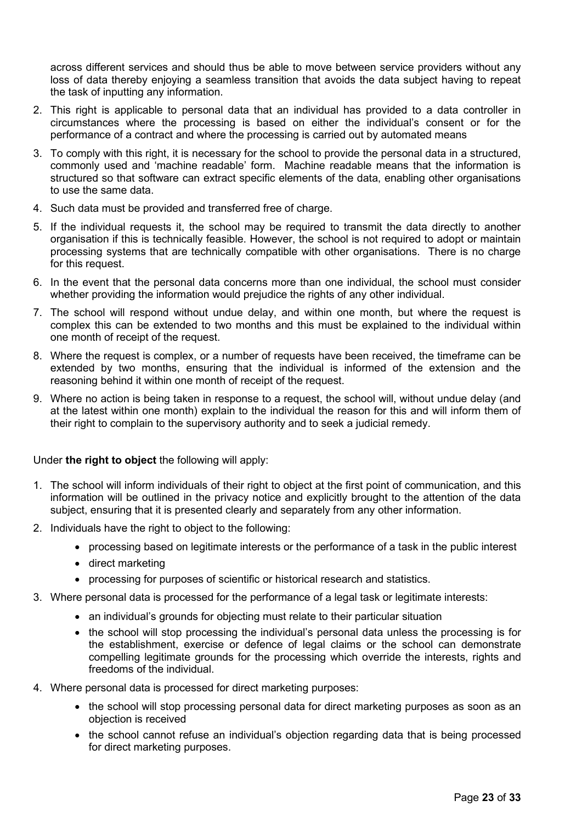across different services and should thus be able to move between service providers without any loss of data thereby enjoying a seamless transition that avoids the data subject having to repeat the task of inputting any information.

- 2. This right is applicable to personal data that an individual has provided to a data controller in circumstances where the processing is based on either the individual's consent or for the performance of a contract and where the processing is carried out by automated means
- 3. To comply with this right, it is necessary for the school to provide the personal data in a structured, commonly used and 'machine readable' form. Machine readable means that the information is structured so that software can extract specific elements of the data, enabling other organisations to use the same data.
- 4. Such data must be provided and transferred free of charge.
- 5. If the individual requests it, the school may be required to transmit the data directly to another organisation if this is technically feasible. However, the school is not required to adopt or maintain processing systems that are technically compatible with other organisations. There is no charge for this request.
- 6. In the event that the personal data concerns more than one individual, the school must consider whether providing the information would prejudice the rights of any other individual.
- 7. The school will respond without undue delay, and within one month, but where the request is complex this can be extended to two months and this must be explained to the individual within one month of receipt of the request.
- 8. Where the request is complex, or a number of requests have been received, the timeframe can be extended by two months, ensuring that the individual is informed of the extension and the reasoning behind it within one month of receipt of the request.
- 9. Where no action is being taken in response to a request, the school will, without undue delay (and at the latest within one month) explain to the individual the reason for this and will inform them of their right to complain to the supervisory authority and to seek a judicial remedy.

## Under **the right to object** the following will apply:

- 1. The school will inform individuals of their right to object at the first point of communication, and this information will be outlined in the privacy notice and explicitly brought to the attention of the data subject, ensuring that it is presented clearly and separately from any other information.
- 2. Individuals have the right to object to the following:
	- processing based on legitimate interests or the performance of a task in the public interest
	- direct marketing
	- processing for purposes of scientific or historical research and statistics.
- 3. Where personal data is processed for the performance of a legal task or legitimate interests:
	- an individual's grounds for objecting must relate to their particular situation
	- the school will stop processing the individual's personal data unless the processing is for the establishment, exercise or defence of legal claims or the school can demonstrate compelling legitimate grounds for the processing which override the interests, rights and freedoms of the individual.
- 4. Where personal data is processed for direct marketing purposes:
	- the school will stop processing personal data for direct marketing purposes as soon as an objection is received
	- the school cannot refuse an individual's objection regarding data that is being processed for direct marketing purposes.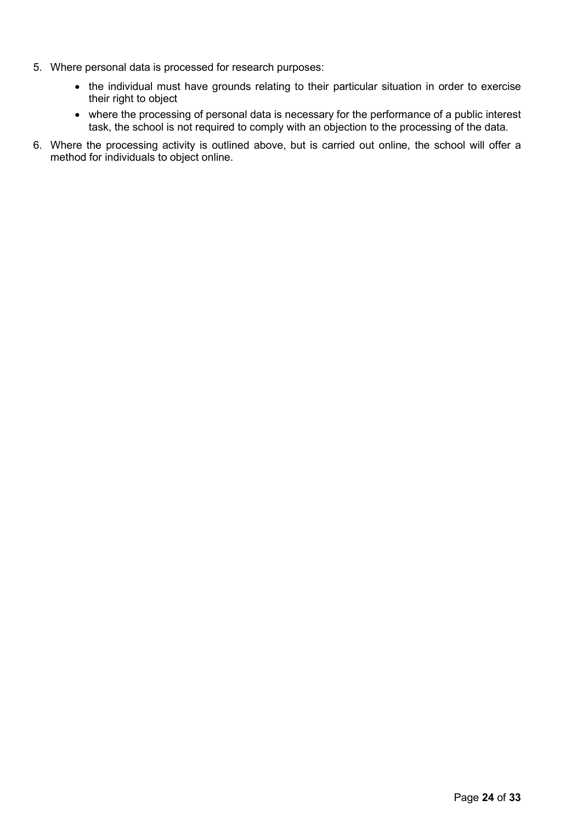- 5. Where personal data is processed for research purposes:
	- the individual must have grounds relating to their particular situation in order to exercise their right to object
	- where the processing of personal data is necessary for the performance of a public interest task, the school is not required to comply with an objection to the processing of the data.
- 6. Where the processing activity is outlined above, but is carried out online, the school will offer a method for individuals to object online.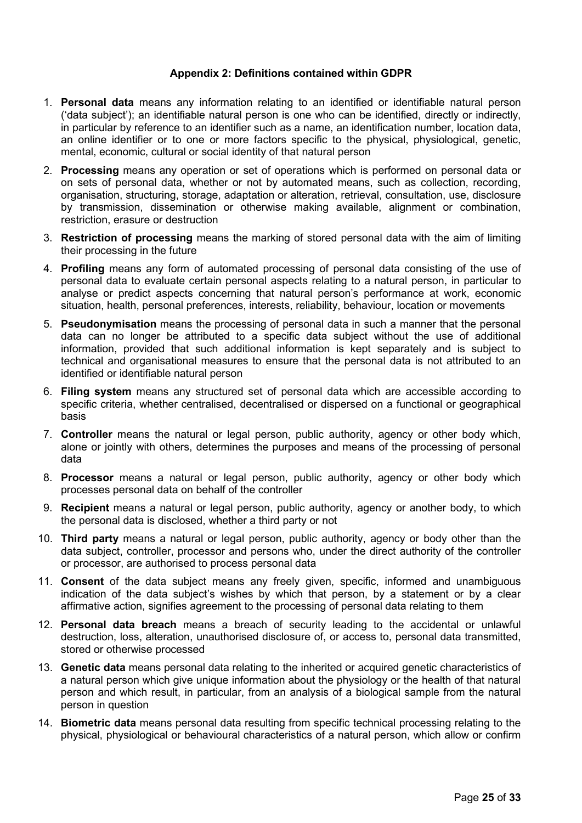#### **Appendix 2: Definitions contained within GDPR**

- <span id="page-24-0"></span>1. **Personal data** means any information relating to an identified or identifiable natural person ('data subject'); an identifiable natural person is one who can be identified, directly or indirectly, in particular by reference to an identifier such as a name, an identification number, location data, an online identifier or to one or more factors specific to the physical, physiological, genetic, mental, economic, cultural or social identity of that natural person
- 2. **Processing** means any operation or set of operations which is performed on personal data or on sets of personal data, whether or not by automated means, such as collection, recording, organisation, structuring, storage, adaptation or alteration, retrieval, consultation, use, disclosure by transmission, dissemination or otherwise making available, alignment or combination, restriction, erasure or destruction
- 3. **Restriction of processing** means the marking of stored personal data with the aim of limiting their processing in the future
- 4. **Profiling** means any form of automated processing of personal data consisting of the use of personal data to evaluate certain personal aspects relating to a natural person, in particular to analyse or predict aspects concerning that natural person's performance at work, economic situation, health, personal preferences, interests, reliability, behaviour, location or movements
- 5. **Pseudonymisation** means the processing of personal data in such a manner that the personal data can no longer be attributed to a specific data subject without the use of additional information, provided that such additional information is kept separately and is subject to technical and organisational measures to ensure that the personal data is not attributed to an identified or identifiable natural person
- 6. **Filing system** means any structured set of personal data which are accessible according to specific criteria, whether centralised, decentralised or dispersed on a functional or geographical basis
- 7. **Controller** means the natural or legal person, public authority, agency or other body which, alone or jointly with others, determines the purposes and means of the processing of personal data
- 8. **Processor** means a natural or legal person, public authority, agency or other body which processes personal data on behalf of the controller
- 9. **Recipient** means a natural or legal person, public authority, agency or another body, to which the personal data is disclosed, whether a third party or not
- 10. **Third party** means a natural or legal person, public authority, agency or body other than the data subject, controller, processor and persons who, under the direct authority of the controller or processor, are authorised to process personal data
- 11. **Consent** of the data subject means any freely given, specific, informed and unambiguous indication of the data subject's wishes by which that person, by a statement or by a clear affirmative action, signifies agreement to the processing of personal data relating to them
- 12. **Personal data breach** means a breach of security leading to the accidental or unlawful destruction, loss, alteration, unauthorised disclosure of, or access to, personal data transmitted, stored or otherwise processed
- 13. **Genetic data** means personal data relating to the inherited or acquired genetic characteristics of a natural person which give unique information about the physiology or the health of that natural person and which result, in particular, from an analysis of a biological sample from the natural person in question
- 14. **Biometric data** means personal data resulting from specific technical processing relating to the physical, physiological or behavioural characteristics of a natural person, which allow or confirm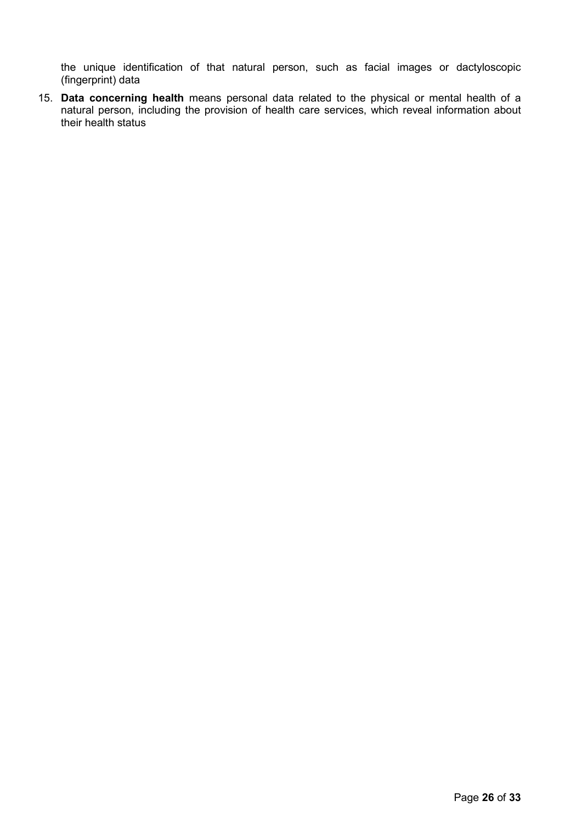the unique identification of that natural person, such as facial images or dactyloscopic (fingerprint) data

15. **Data concerning health** means personal data related to the physical or mental health of a natural person, including the provision of health care services, which reveal information about their health status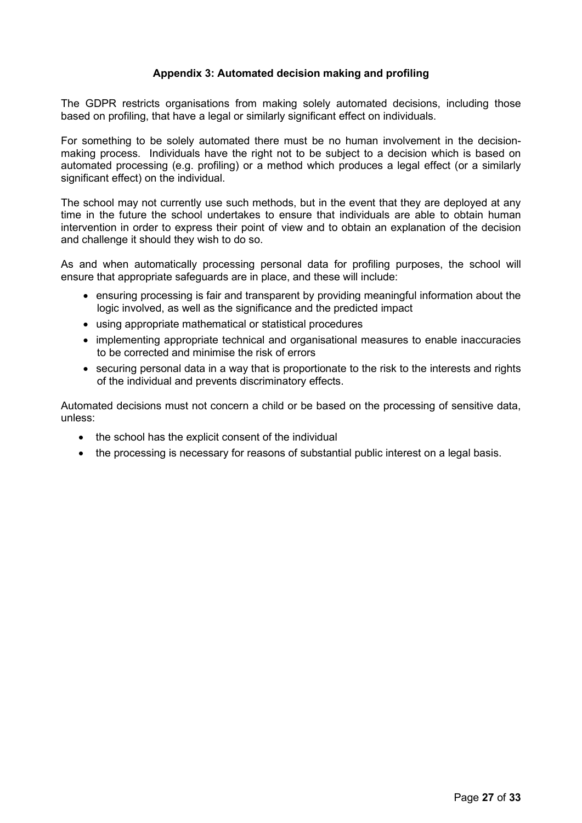## **Appendix 3: Automated decision making and profiling**

<span id="page-26-0"></span>The GDPR restricts organisations from making solely automated decisions, including those based on profiling, that have a legal or similarly significant effect on individuals.

For something to be solely automated there must be no human involvement in the decisionmaking process. Individuals have the right not to be subject to a decision which is based on automated processing (e.g. profiling) or a method which produces a legal effect (or a similarly significant effect) on the individual.

The school may not currently use such methods, but in the event that they are deployed at any time in the future the school undertakes to ensure that individuals are able to obtain human intervention in order to express their point of view and to obtain an explanation of the decision and challenge it should they wish to do so.

As and when automatically processing personal data for profiling purposes, the school will ensure that appropriate safeguards are in place, and these will include:

- ensuring processing is fair and transparent by providing meaningful information about the logic involved, as well as the significance and the predicted impact
- using appropriate mathematical or statistical procedures
- implementing appropriate technical and organisational measures to enable inaccuracies to be corrected and minimise the risk of errors
- securing personal data in a way that is proportionate to the risk to the interests and rights of the individual and prevents discriminatory effects.

Automated decisions must not concern a child or be based on the processing of sensitive data, unless:

- the school has the explicit consent of the individual
- the processing is necessary for reasons of substantial public interest on a legal basis.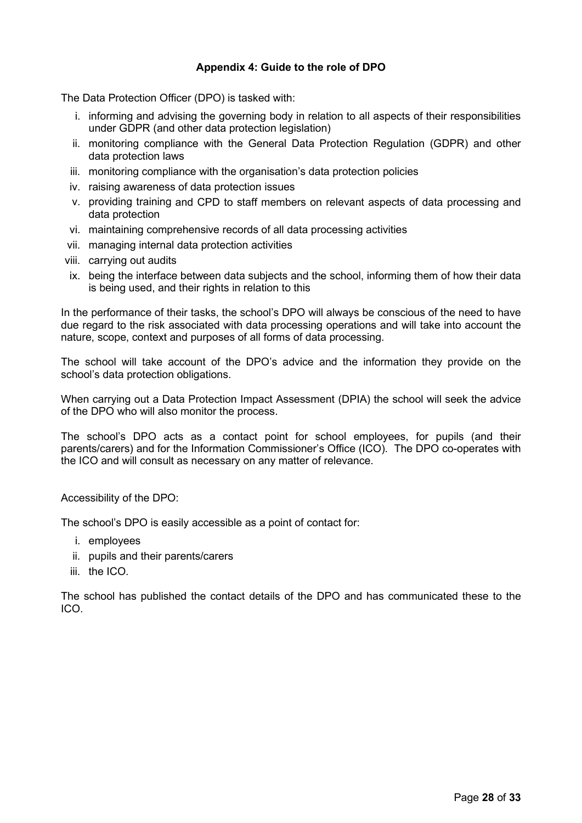# **Appendix 4: Guide to the role of DPO**

<span id="page-27-0"></span>The Data Protection Officer (DPO) is tasked with:

- i. informing and advising the governing body in relation to all aspects of their responsibilities under GDPR (and other data protection legislation)
- ii. monitoring compliance with the General Data Protection Regulation (GDPR) and other data protection laws
- iii. monitoring compliance with the organisation's data protection policies
- iv. raising awareness of data protection issues
- v. providing training and CPD to staff members on relevant aspects of data processing and data protection
- vi. maintaining comprehensive records of all data processing activities
- vii. managing internal data protection activities
- viii. carrying out audits
- ix. being the interface between data subjects and the school, informing them of how their data is being used, and their rights in relation to this

In the performance of their tasks, the school's DPO will always be conscious of the need to have due regard to the risk associated with data processing operations and will take into account the nature, scope, context and purposes of all forms of data processing.

The school will take account of the DPO's advice and the information they provide on the school's data protection obligations.

When carrying out a Data Protection Impact Assessment (DPIA) the school will seek the advice of the DPO who will also monitor the process.

The school's DPO acts as a contact point for school employees, for pupils (and their parents/carers) and for the Information Commissioner's Office (ICO). The DPO co-operates with the ICO and will consult as necessary on any matter of relevance.

Accessibility of the DPO:

The school's DPO is easily accessible as a point of contact for:

- i. employees
- ii. pupils and their parents/carers
- iii. the ICO.

The school has published the contact details of the DPO and has communicated these to the ICO.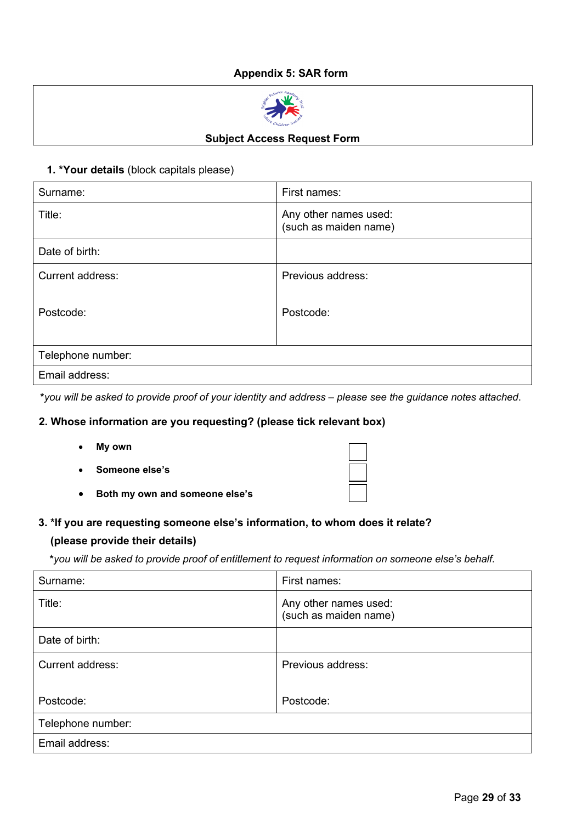# **Appendix 5: SAR form**



#### **Subject Access Request Form**

#### <span id="page-28-0"></span>**1. \*Your details** (block capitals please)

| Surname:          | First names:                                   |  |
|-------------------|------------------------------------------------|--|
| Title:            | Any other names used:<br>(such as maiden name) |  |
| Date of birth:    |                                                |  |
| Current address:  | Previous address:                              |  |
| Postcode:         | Postcode:                                      |  |
| Telephone number: |                                                |  |
| Email address:    |                                                |  |

**\****you will be asked to provide proof of your identity and address – please see the guidance notes attached*.

## **2. Whose information are you requesting? (please tick relevant box)**

- **My own**
- **Someone else's**
- **Both my own and someone else's**

#### **3. \*If you are requesting someone else's information, to whom does it relate?**

#### **(please provide their details)**

 **\****you will be asked to provide proof of entitlement to request information on someone else's behalf*.

| Surname:          | First names:                                   |
|-------------------|------------------------------------------------|
| Title:            | Any other names used:<br>(such as maiden name) |
| Date of birth:    |                                                |
| Current address:  | Previous address:                              |
| Postcode:         | Postcode:                                      |
| Telephone number: |                                                |
| Email address:    |                                                |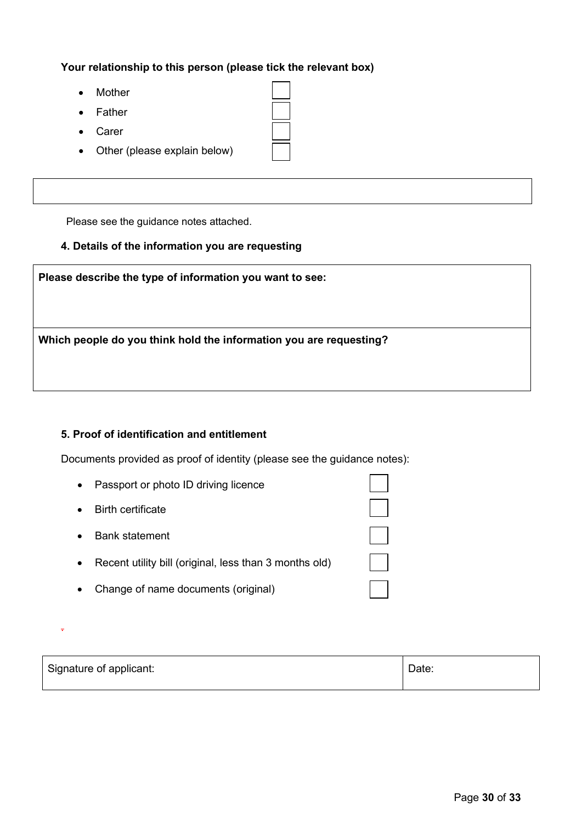**Your relationship to this person (please tick the relevant box)**

- **Mother**
- **Father**
- Carer

.

• Other (please explain below)

Please see the guidance notes attached.

## **4. Details of the information you are requesting**

| Please describe the type of information you want to see:           |  |
|--------------------------------------------------------------------|--|
| Which people do you think hold the information you are requesting? |  |
|                                                                    |  |

# **5. Proof of identification and entitlement**

Documents provided as proof of identity (please see the guidance notes):

| Passport or photo ID driving licence                   |  |
|--------------------------------------------------------|--|
| <b>Birth certificate</b>                               |  |
| <b>Bank statement</b>                                  |  |
| Recent utility bill (original, less than 3 months old) |  |
| Change of name documents (original)                    |  |

Signature of applicant:  $\Box$  Date:  $\Box$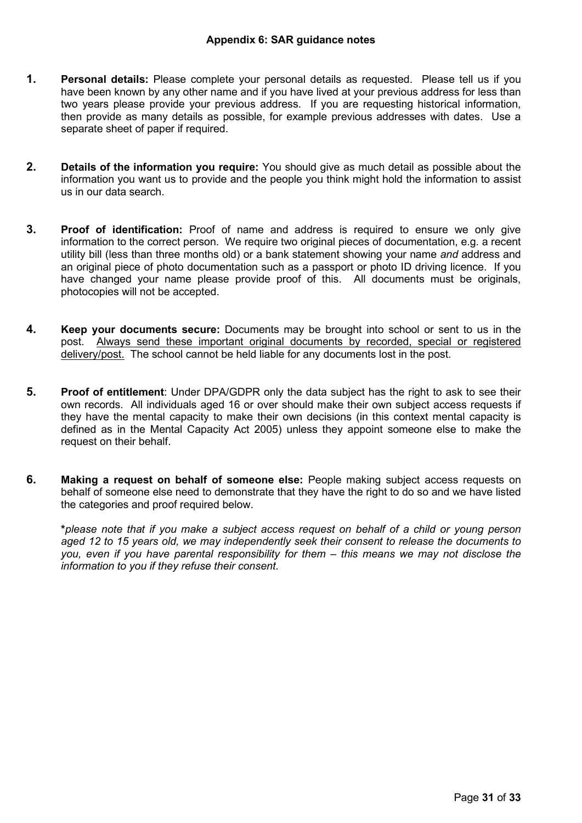- <span id="page-30-0"></span>**1. Personal details:** Please complete your personal details as requested. Please tell us if you have been known by any other name and if you have lived at your previous address for less than two years please provide your previous address. If you are requesting historical information, then provide as many details as possible, for example previous addresses with dates. Use a separate sheet of paper if required.
- **2. Details of the information you require:** You should give as much detail as possible about the information you want us to provide and the people you think might hold the information to assist us in our data search.
- **3. Proof of identification:** Proof of name and address is required to ensure we only give information to the correct person. We require two original pieces of documentation, e.g. a recent utility bill (less than three months old) or a bank statement showing your name *and* address and an original piece of photo documentation such as a passport or photo ID driving licence. If you have changed your name please provide proof of this. All documents must be originals, photocopies will not be accepted.
- **4. Keep your documents secure:** Documents may be brought into school or sent to us in the post. Always send these important original documents by recorded, special or registered delivery/post. The school cannot be held liable for any documents lost in the post.
- **5. Proof of entitlement**: Under DPA/GDPR only the data subject has the right to ask to see their own records. All individuals aged 16 or over should make their own subject access requests if they have the mental capacity to make their own decisions (in this context mental capacity is defined as in the Mental Capacity Act 2005) unless they appoint someone else to make the request on their behalf.
- **6. Making a request on behalf of someone else:** People making subject access requests on behalf of someone else need to demonstrate that they have the right to do so and we have listed the categories and proof required below.

**\****please note that if you make a subject access request on behalf of a child or young person aged 12 to 15 years old, we may independently seek their consent to release the documents to you, even if you have parental responsibility for them – this means we may not disclose the information to you if they refuse their consent*.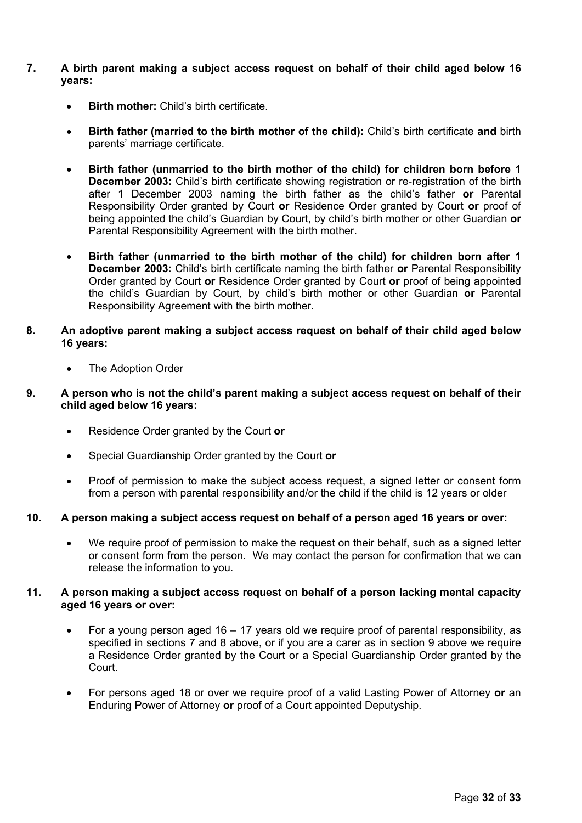- **7. A birth parent making a subject access request on behalf of their child aged below 16 years:**
	- **Birth mother:** Child's birth certificate.
	- **Birth father (married to the birth mother of the child):** Child's birth certificate **and** birth parents' marriage certificate.
	- **Birth father (unmarried to the birth mother of the child) for children born before 1 December 2003:** Child's birth certificate showing registration or re-registration of the birth after 1 December 2003 naming the birth father as the child's father **or** Parental Responsibility Order granted by Court **or** Residence Order granted by Court **or** proof of being appointed the child's Guardian by Court, by child's birth mother or other Guardian **or**  Parental Responsibility Agreement with the birth mother.
	- **Birth father (unmarried to the birth mother of the child) for children born after 1 December 2003:** Child's birth certificate naming the birth father **or** Parental Responsibility Order granted by Court **or** Residence Order granted by Court **or** proof of being appointed the child's Guardian by Court, by child's birth mother or other Guardian **or** Parental Responsibility Agreement with the birth mother.
- **8. An adoptive parent making a subject access request on behalf of their child aged below 16 years:**
	- The Adoption Order
- **9. A person who is not the child's parent making a subject access request on behalf of their child aged below 16 years:**
	- Residence Order granted by the Court **or**
	- Special Guardianship Order granted by the Court **or**
	- Proof of permission to make the subject access request, a signed letter or consent form from a person with parental responsibility and/or the child if the child is 12 years or older

## **10. A person making a subject access request on behalf of a person aged 16 years or over:**

We require proof of permission to make the request on their behalf, such as a signed letter or consent form from the person. We may contact the person for confirmation that we can release the information to you.

#### **11. A person making a subject access request on behalf of a person lacking mental capacity aged 16 years or over:**

- For a young person aged 16 17 years old we require proof of parental responsibility, as specified in sections 7 and 8 above, or if you are a carer as in section 9 above we require a Residence Order granted by the Court or a Special Guardianship Order granted by the Court.
- For persons aged 18 or over we require proof of a valid Lasting Power of Attorney **or** an Enduring Power of Attorney **or** proof of a Court appointed Deputyship.